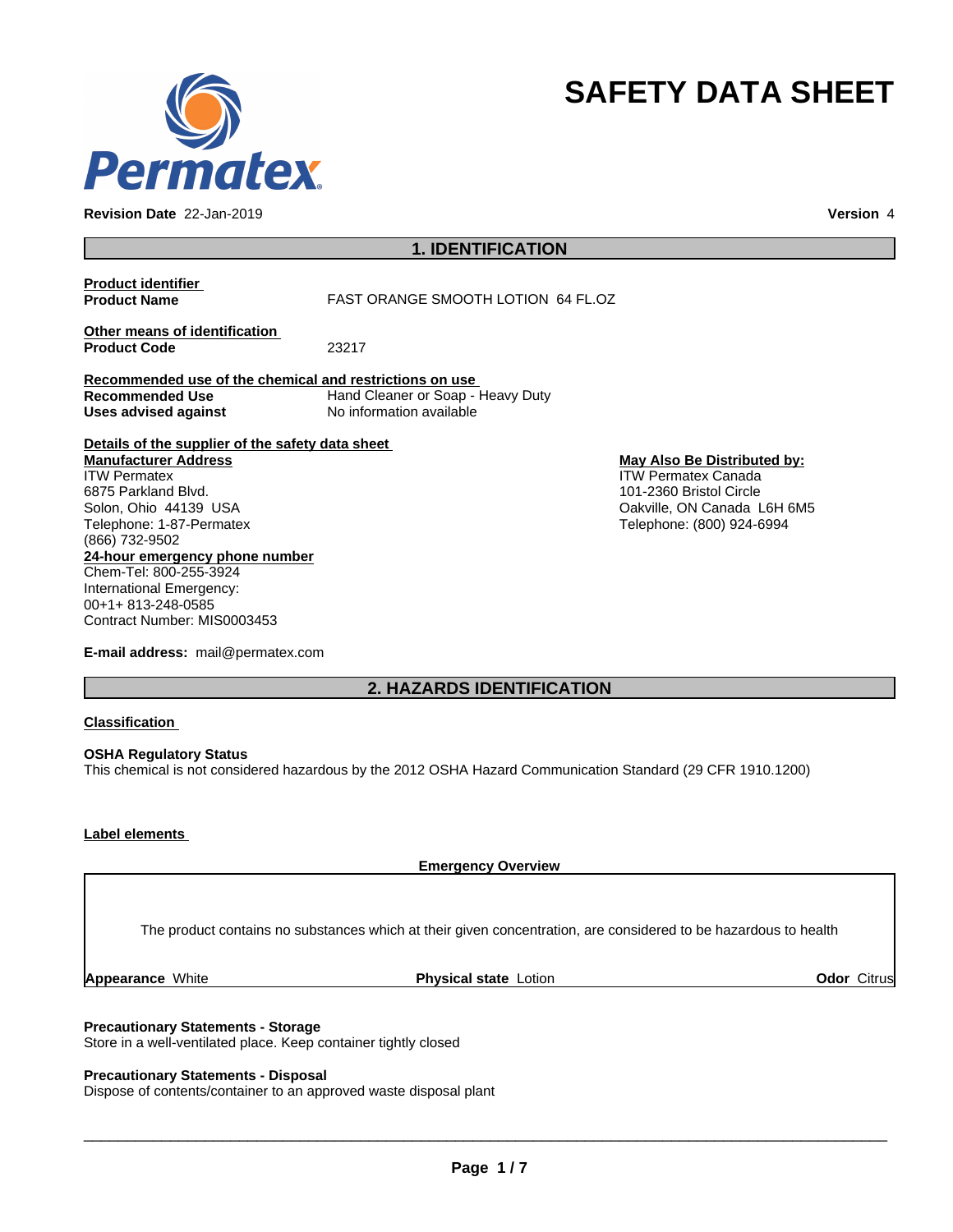

**Revision Date** 22-Jan-2019 **Version** 4

# **SAFETY DATA SHEET**

# **1. IDENTIFICATION**

| <b>Product identifier</b><br><b>Product Name</b>        | <b>FAST ORANGE SMOOTH LOTION 64 FL.OZ</b>                     |                             |
|---------------------------------------------------------|---------------------------------------------------------------|-----------------------------|
| Other means of identification<br><b>Product Code</b>    | 23217                                                         |                             |
| Recommended use of the chemical and restrictions on use |                                                               |                             |
| <b>Recommended Use</b><br>Uses advised against          | Hand Cleaner or Soap - Heavy Duty<br>No information available |                             |
| Details of the supplier of the safety data sheet        |                                                               |                             |
| <b>Manufacturer Address</b>                             |                                                               | May Also Be Distributed by: |
| <b>ITW Permatex</b>                                     |                                                               | <b>ITW Permatex Canada</b>  |
| 6875 Parkland Blvd.                                     |                                                               | 101-2360 Bristol Circle     |
| Solon, Ohio 44139 USA                                   |                                                               | Oakville, ON Canada L6H 6M5 |
| Telephone: 1-87-Permatex                                |                                                               | Telephone: (800) 924-6994   |
| (866) 732-9502                                          |                                                               |                             |
| 24-hour emergency phone number                          |                                                               |                             |
| Chem-Tel: 800-255-3924                                  |                                                               |                             |
| International Emergency:                                |                                                               |                             |
| 00+1+813-248-0585                                       |                                                               |                             |
| Contract Number: MIS0003453                             |                                                               |                             |

**E-mail address:** mail@permatex.com

# **2. HAZARDS IDENTIFICATION**

**Classification**

**OSHA Regulatory Status** This chemical is not considered hazardous by the 2012 OSHA Hazard Communication Standard (29 CFR 1910.1200)

## **Label elements**

**Emergency Overview**

The product contains no substances which at their given concentration, are considered to be hazardous to health

**Appearance White <b>Physical state** Lotion **Containers Containers Containers Containers Containers Containers and Debutes Citrus** 

### **Precautionary Statements - Storage**

Store in a well-ventilated place. Keep container tightly closed

## **Precautionary Statements - Disposal**

Dispose of contents/container to an approved waste disposal plant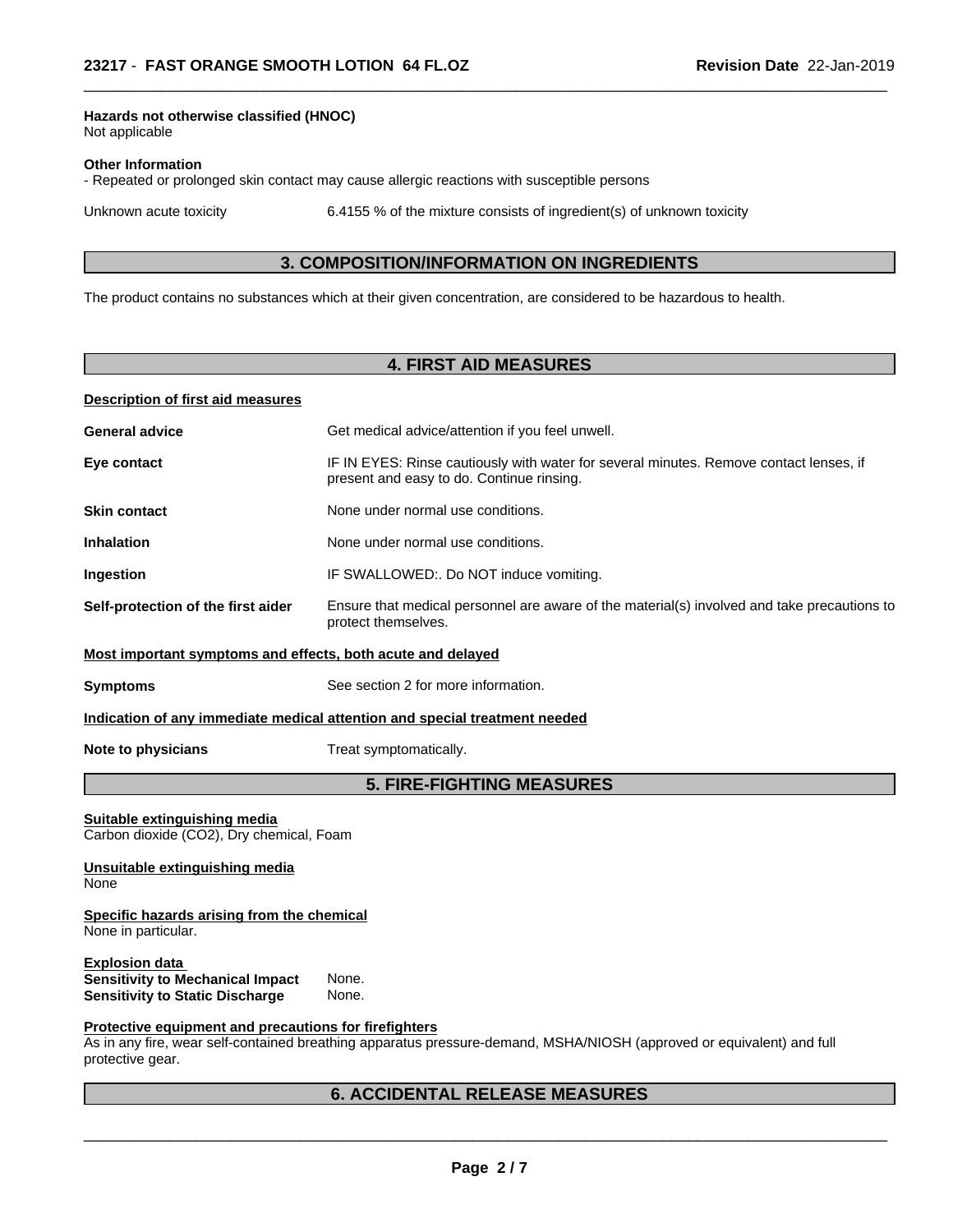## **Hazards not otherwise classified (HNOC)**

Not applicable

#### **Other Information**

- Repeated or prolonged skin contact may cause allergic reactions with susceptible persons

Unknown acute toxicity 6.4155 % of the mixture consists of ingredient(s) of unknown toxicity

 $\overline{\phantom{a}}$  ,  $\overline{\phantom{a}}$  ,  $\overline{\phantom{a}}$  ,  $\overline{\phantom{a}}$  ,  $\overline{\phantom{a}}$  ,  $\overline{\phantom{a}}$  ,  $\overline{\phantom{a}}$  ,  $\overline{\phantom{a}}$  ,  $\overline{\phantom{a}}$  ,  $\overline{\phantom{a}}$  ,  $\overline{\phantom{a}}$  ,  $\overline{\phantom{a}}$  ,  $\overline{\phantom{a}}$  ,  $\overline{\phantom{a}}$  ,  $\overline{\phantom{a}}$  ,  $\overline{\phantom{a}}$ 

## **3. COMPOSITION/INFORMATION ON INGREDIENTS**

The product contains no substances which at their given concentration, are considered to be hazardous to health.

## **4. FIRST AID MEASURES**

### **Description of first aid measures**

| <b>General advice</b>                                       | Get medical advice/attention if you feel unwell.                                                                                    |
|-------------------------------------------------------------|-------------------------------------------------------------------------------------------------------------------------------------|
| Eye contact                                                 | IF IN EYES: Rinse cautiously with water for several minutes. Remove contact lenses, if<br>present and easy to do. Continue rinsing. |
| <b>Skin contact</b>                                         | None under normal use conditions.                                                                                                   |
| <b>Inhalation</b>                                           | None under normal use conditions.                                                                                                   |
| Ingestion                                                   | IF SWALLOWED:. Do NOT induce vomiting.                                                                                              |
| Self-protection of the first aider                          | Ensure that medical personnel are aware of the material(s) involved and take precautions to<br>protect themselves.                  |
| Most impartant symptoms and offects, both asute and delayed |                                                                                                                                     |

**Most important symptoms and effects, both acute and delayed**

**Symptoms** See section 2 for more information.

#### **Indication of any immediate medical attention and special treatment needed**

**Note to physicians** Treat symptomatically.

## **5. FIRE-FIGHTING MEASURES**

**Suitable extinguishing media** Carbon dioxide (CO2), Dry chemical, Foam

#### **Unsuitable extinguishing media** None

#### **Specific hazards arising from the chemical** None in particular.

**Explosion data**<br>**Sensitivity to Mechanical Impact** None. **Sensitivity to Mechanical Impact Sensitivity to Static Discharge** None.

#### **Protective equipment and precautions for firefighters**

As in any fire, wear self-contained breathing apparatus pressure-demand, MSHA/NIOSH (approved or equivalent) and full protective gear.

## **6. ACCIDENTAL RELEASE MEASURES**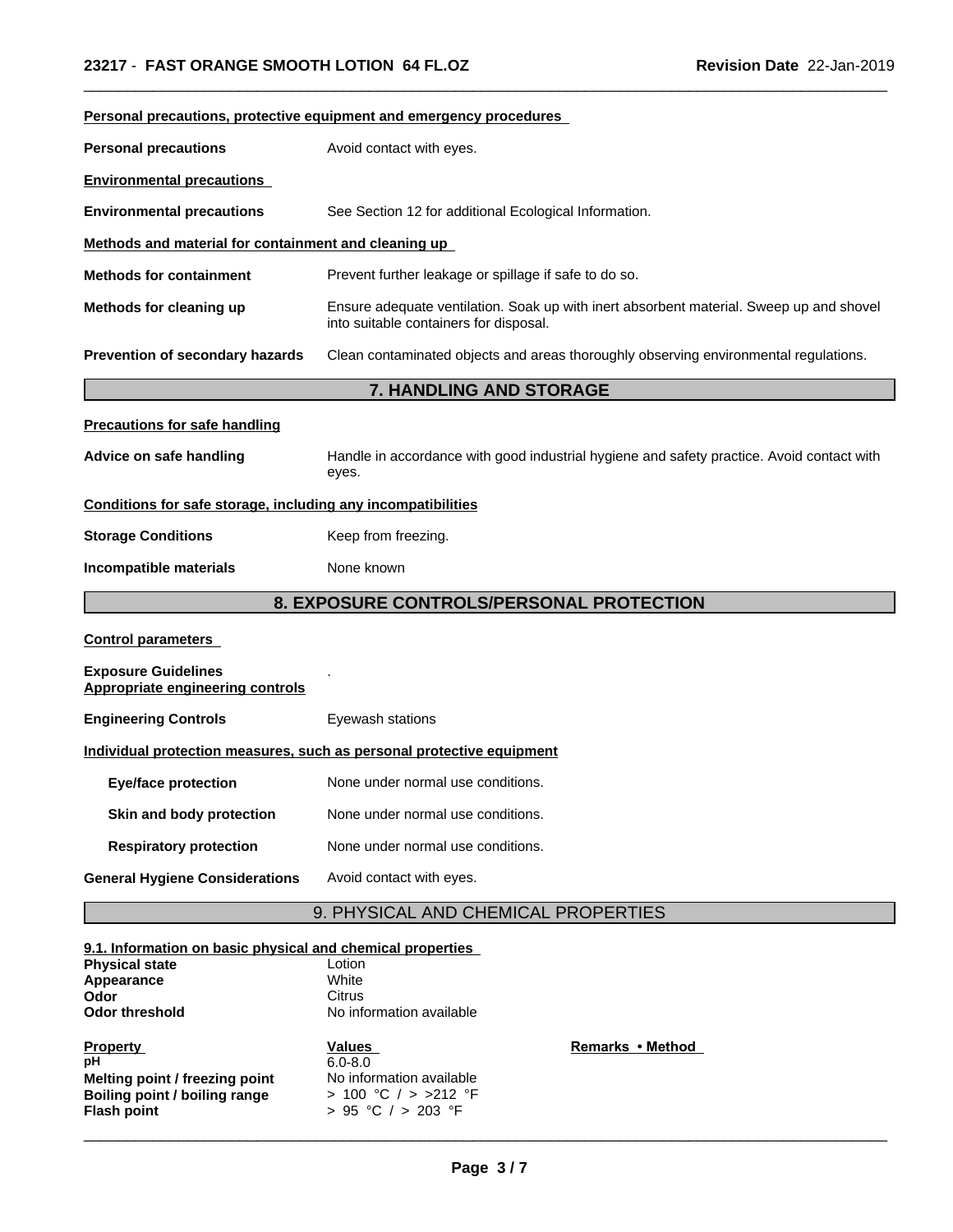| Personal precautions, protective equipment and emergency procedures                      |                                                                                                                                   |  |  |  |
|------------------------------------------------------------------------------------------|-----------------------------------------------------------------------------------------------------------------------------------|--|--|--|
| Avoid contact with eyes.<br><b>Personal precautions</b>                                  |                                                                                                                                   |  |  |  |
| <b>Environmental precautions</b>                                                         |                                                                                                                                   |  |  |  |
| <b>Environmental precautions</b>                                                         | See Section 12 for additional Ecological Information.                                                                             |  |  |  |
| Methods and material for containment and cleaning up                                     |                                                                                                                                   |  |  |  |
| <b>Methods for containment</b>                                                           | Prevent further leakage or spillage if safe to do so.                                                                             |  |  |  |
| Methods for cleaning up                                                                  | Ensure adequate ventilation. Soak up with inert absorbent material. Sweep up and shovel<br>into suitable containers for disposal. |  |  |  |
| Prevention of secondary hazards                                                          | Clean contaminated objects and areas thoroughly observing environmental regulations.                                              |  |  |  |
|                                                                                          | 7. HANDLING AND STORAGE                                                                                                           |  |  |  |
| <b>Precautions for safe handling</b>                                                     |                                                                                                                                   |  |  |  |
| Advice on safe handling                                                                  | Handle in accordance with good industrial hygiene and safety practice. Avoid contact with<br>eyes.                                |  |  |  |
| Conditions for safe storage, including any incompatibilities                             |                                                                                                                                   |  |  |  |
| <b>Storage Conditions</b>                                                                | Keep from freezing.                                                                                                               |  |  |  |
| Incompatible materials                                                                   | None known                                                                                                                        |  |  |  |
|                                                                                          | 8. EXPOSURE CONTROLS/PERSONAL PROTECTION                                                                                          |  |  |  |
| <b>Control parameters</b>                                                                |                                                                                                                                   |  |  |  |
| <b>Exposure Guidelines</b><br><b>Appropriate engineering controls</b>                    |                                                                                                                                   |  |  |  |
| <b>Engineering Controls</b>                                                              | Eyewash stations                                                                                                                  |  |  |  |
|                                                                                          | Individual protection measures, such as personal protective equipment                                                             |  |  |  |
| <b>Eye/face protection</b>                                                               | None under normal use conditions.                                                                                                 |  |  |  |
| Skin and body protection                                                                 | None under normal use conditions.                                                                                                 |  |  |  |
| <b>Respiratory protection</b>                                                            | None under normal use conditions.                                                                                                 |  |  |  |
| <b>General Hygiene Considerations</b>                                                    | Avoid contact with eyes.                                                                                                          |  |  |  |
|                                                                                          | 9. PHYSICAL AND CHEMICAL PROPERTIES                                                                                               |  |  |  |
| 9.1. Information on basic physical and chemical properties<br><b>Physical state</b>      | Lotion                                                                                                                            |  |  |  |
| Appearance                                                                               | White                                                                                                                             |  |  |  |
| Odor<br><b>Odor threshold</b>                                                            | <b>Citrus</b><br>No information available                                                                                         |  |  |  |
| <b>Property</b><br>рH<br>Melting point / freezing point<br>Boiling point / boiling range | Remarks • Method<br>Values<br>$6.0 - 8.0$<br>No information available<br>> 100 °C / > >212 °F                                     |  |  |  |

 $\overline{\phantom{a}}$  ,  $\overline{\phantom{a}}$  ,  $\overline{\phantom{a}}$  ,  $\overline{\phantom{a}}$  ,  $\overline{\phantom{a}}$  ,  $\overline{\phantom{a}}$  ,  $\overline{\phantom{a}}$  ,  $\overline{\phantom{a}}$  ,  $\overline{\phantom{a}}$  ,  $\overline{\phantom{a}}$  ,  $\overline{\phantom{a}}$  ,  $\overline{\phantom{a}}$  ,  $\overline{\phantom{a}}$  ,  $\overline{\phantom{a}}$  ,  $\overline{\phantom{a}}$  ,  $\overline{\phantom{a}}$ 

 $\overline{\phantom{a}}$  ,  $\overline{\phantom{a}}$  ,  $\overline{\phantom{a}}$  ,  $\overline{\phantom{a}}$  ,  $\overline{\phantom{a}}$  ,  $\overline{\phantom{a}}$  ,  $\overline{\phantom{a}}$  ,  $\overline{\phantom{a}}$  ,  $\overline{\phantom{a}}$  ,  $\overline{\phantom{a}}$  ,  $\overline{\phantom{a}}$  ,  $\overline{\phantom{a}}$  ,  $\overline{\phantom{a}}$  ,  $\overline{\phantom{a}}$  ,  $\overline{\phantom{a}}$  ,  $\overline{\phantom{a}}$ 

**Flash point** > 95 °C / > 203 °F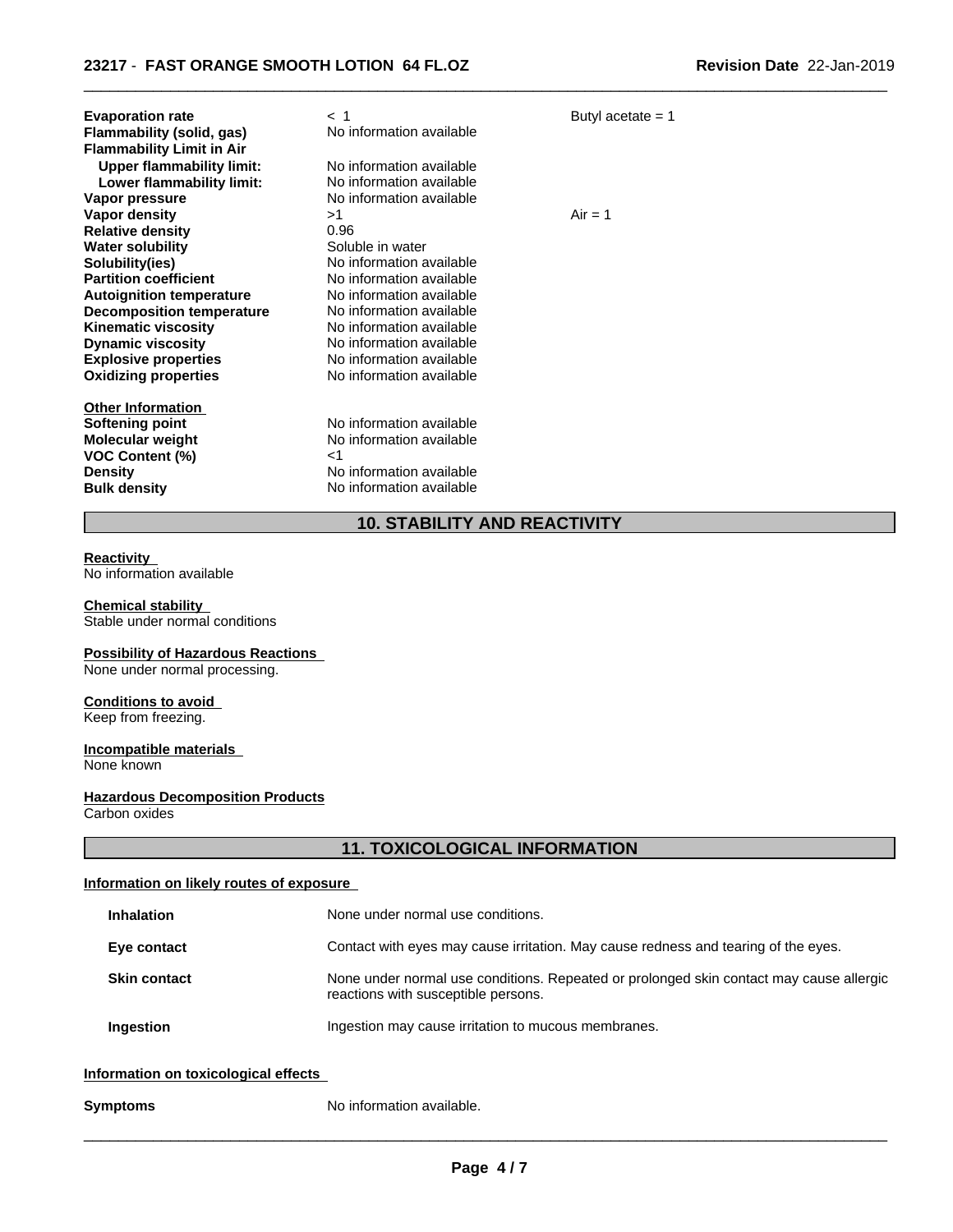| <b>Evaporation rate</b><br>Flammability (solid, gas)<br><b>Flammability Limit in Air</b><br><b>Upper flammability limit:</b><br>Lower flammability limit:                                                                                               | < 1<br>No information available<br>No information available<br>No information available                                                                                                                | Butyl acetate $= 1$ |
|---------------------------------------------------------------------------------------------------------------------------------------------------------------------------------------------------------------------------------------------------------|--------------------------------------------------------------------------------------------------------------------------------------------------------------------------------------------------------|---------------------|
| Vapor pressure                                                                                                                                                                                                                                          | No information available                                                                                                                                                                               |                     |
| <b>Vapor density</b><br><b>Relative density</b><br><b>Water solubility</b><br>Solubility(ies)<br><b>Partition coefficient</b><br><b>Autoignition temperature</b><br>Decomposition temperature<br><b>Kinematic viscosity</b><br><b>Dynamic viscosity</b> | >1<br>0.96<br>Soluble in water<br>No information available<br>No information available<br>No information available<br>No information available<br>No information available<br>No information available | $Air = 1$           |
| <b>Explosive properties</b><br><b>Oxidizing properties</b>                                                                                                                                                                                              | No information available<br>No information available                                                                                                                                                   |                     |
| <b>Other Information</b><br>Softening point<br><b>Molecular weight</b><br><b>VOC Content (%)</b><br><b>Density</b><br><b>Bulk density</b>                                                                                                               | No information available<br>No information available<br>ا><br>No information available<br>No information available                                                                                     |                     |

# **10. STABILITY AND REACTIVITY**

 $\overline{\phantom{a}}$  ,  $\overline{\phantom{a}}$  ,  $\overline{\phantom{a}}$  ,  $\overline{\phantom{a}}$  ,  $\overline{\phantom{a}}$  ,  $\overline{\phantom{a}}$  ,  $\overline{\phantom{a}}$  ,  $\overline{\phantom{a}}$  ,  $\overline{\phantom{a}}$  ,  $\overline{\phantom{a}}$  ,  $\overline{\phantom{a}}$  ,  $\overline{\phantom{a}}$  ,  $\overline{\phantom{a}}$  ,  $\overline{\phantom{a}}$  ,  $\overline{\phantom{a}}$  ,  $\overline{\phantom{a}}$ 

#### **Reactivity**

No information available

#### **Chemical stability**

Stable under normal conditions

## **Possibility of Hazardous Reactions**

None under normal processing.

# **Conditions to avoid**

Keep from freezing.

#### **Incompatible materials** None known

# **Hazardous Decomposition Products**

Carbon oxides

# **11. TOXICOLOGICAL INFORMATION**

## **Information on likely routes of exposure**

| <b>Inhalation</b>   | None under normal use conditions.                                                                                              |
|---------------------|--------------------------------------------------------------------------------------------------------------------------------|
| Eye contact         | Contact with eyes may cause irritation. May cause redness and tearing of the eyes.                                             |
| <b>Skin contact</b> | None under normal use conditions. Repeated or prolonged skin contact may cause allergic<br>reactions with susceptible persons. |
| <b>Ingestion</b>    | Ingestion may cause irritation to mucous membranes.                                                                            |
|                     |                                                                                                                                |

## **Information on toxicological effects**

**Symptoms** No information available.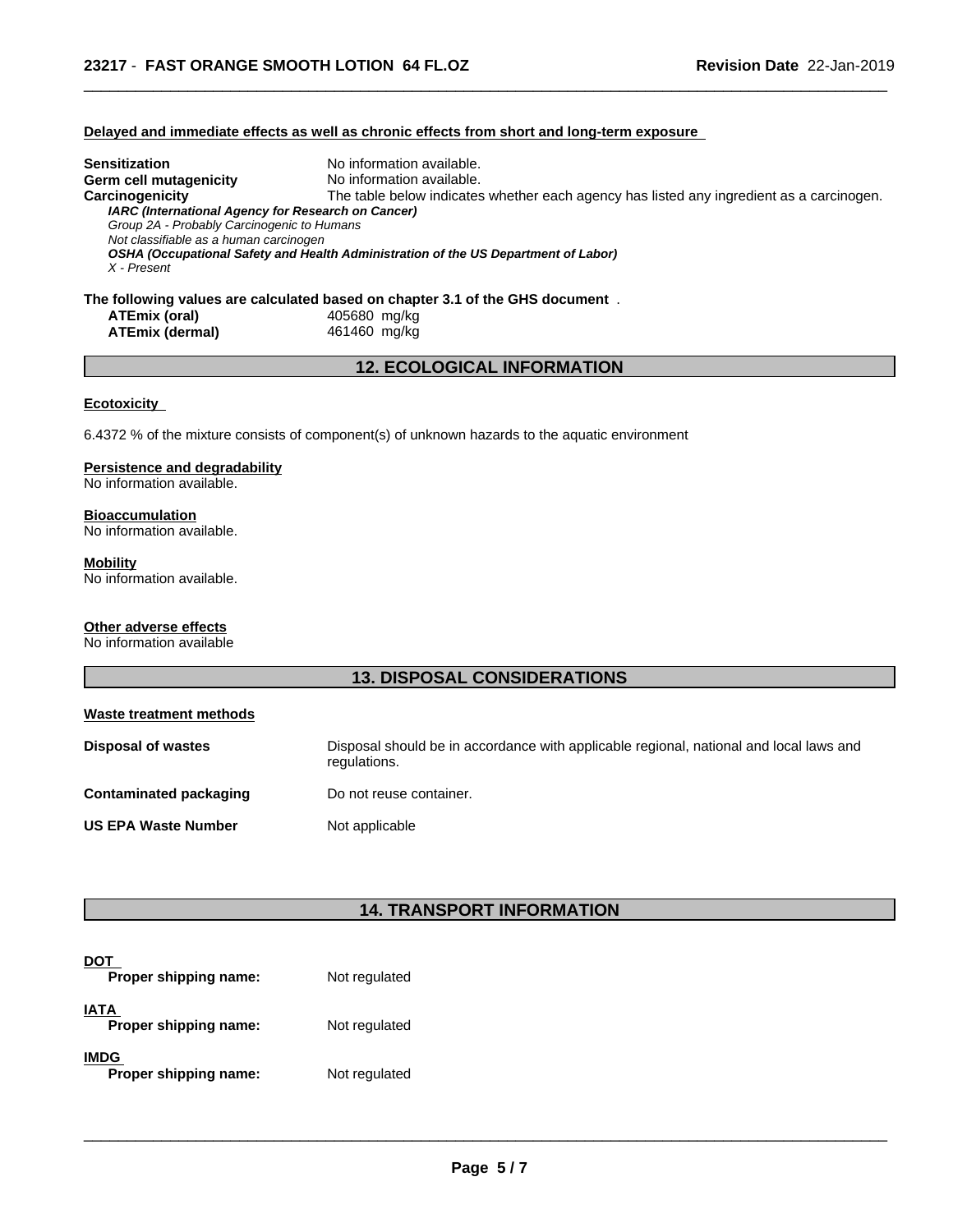## **Delayed and immediate effects as well as chronic effects from short and long-term exposure**

| Sensitization                                      | No information available.                                                                |
|----------------------------------------------------|------------------------------------------------------------------------------------------|
| Germ cell mutagenicity                             | No information available.                                                                |
| Carcinogenicity                                    | The table below indicates whether each agency has listed any ingredient as a carcinogen. |
| IARC (International Agency for Research on Cancer) |                                                                                          |
| Group 2A - Probably Carcinogenic to Humans         |                                                                                          |
| Not classifiable as a human carcinogen             |                                                                                          |
|                                                    | OSHA (Occupational Safety and Health Administration of the US Department of Labor)       |
| X - Present                                        |                                                                                          |
|                                                    |                                                                                          |
|                                                    | The following values are calculated based on chapter 3.1 of the GHS document $\,$ .      |

 $\overline{\phantom{a}}$  ,  $\overline{\phantom{a}}$  ,  $\overline{\phantom{a}}$  ,  $\overline{\phantom{a}}$  ,  $\overline{\phantom{a}}$  ,  $\overline{\phantom{a}}$  ,  $\overline{\phantom{a}}$  ,  $\overline{\phantom{a}}$  ,  $\overline{\phantom{a}}$  ,  $\overline{\phantom{a}}$  ,  $\overline{\phantom{a}}$  ,  $\overline{\phantom{a}}$  ,  $\overline{\phantom{a}}$  ,  $\overline{\phantom{a}}$  ,  $\overline{\phantom{a}}$  ,  $\overline{\phantom{a}}$ 

| ATEmix (oral)   |  |
|-----------------|--|
| ATEmix (dermal) |  |

**ATEmix (oral)** 405680 mg/kg **ATEmix (dermal)**461460 mg/kg

## **12. ECOLOGICAL INFORMATION**

## **Ecotoxicity**

6.4372 % of the mixture consists of component(s) of unknown hazards to the aquatic environment

## **Persistence and degradability**

No information available.

## **Bioaccumulation**

No information available.

## **Mobility**

No information available.

## **Other adverse effects**

No information available

## **13. DISPOSAL CONSIDERATIONS**

| Waste treatment methods       |                                                                                                        |
|-------------------------------|--------------------------------------------------------------------------------------------------------|
| <b>Disposal of wastes</b>     | Disposal should be in accordance with applicable regional, national and local laws and<br>regulations. |
| <b>Contaminated packaging</b> | Do not reuse container.                                                                                |
| <b>US EPA Waste Number</b>    | Not applicable                                                                                         |

## **14. TRANSPORT INFORMATION**

| <b>DOT</b><br>Proper shipping name:  | Not regulated |  |
|--------------------------------------|---------------|--|
| <b>IATA</b><br>Proper shipping name: | Not regulated |  |
| <b>IMDG</b><br>Proper shipping name: | Not regulated |  |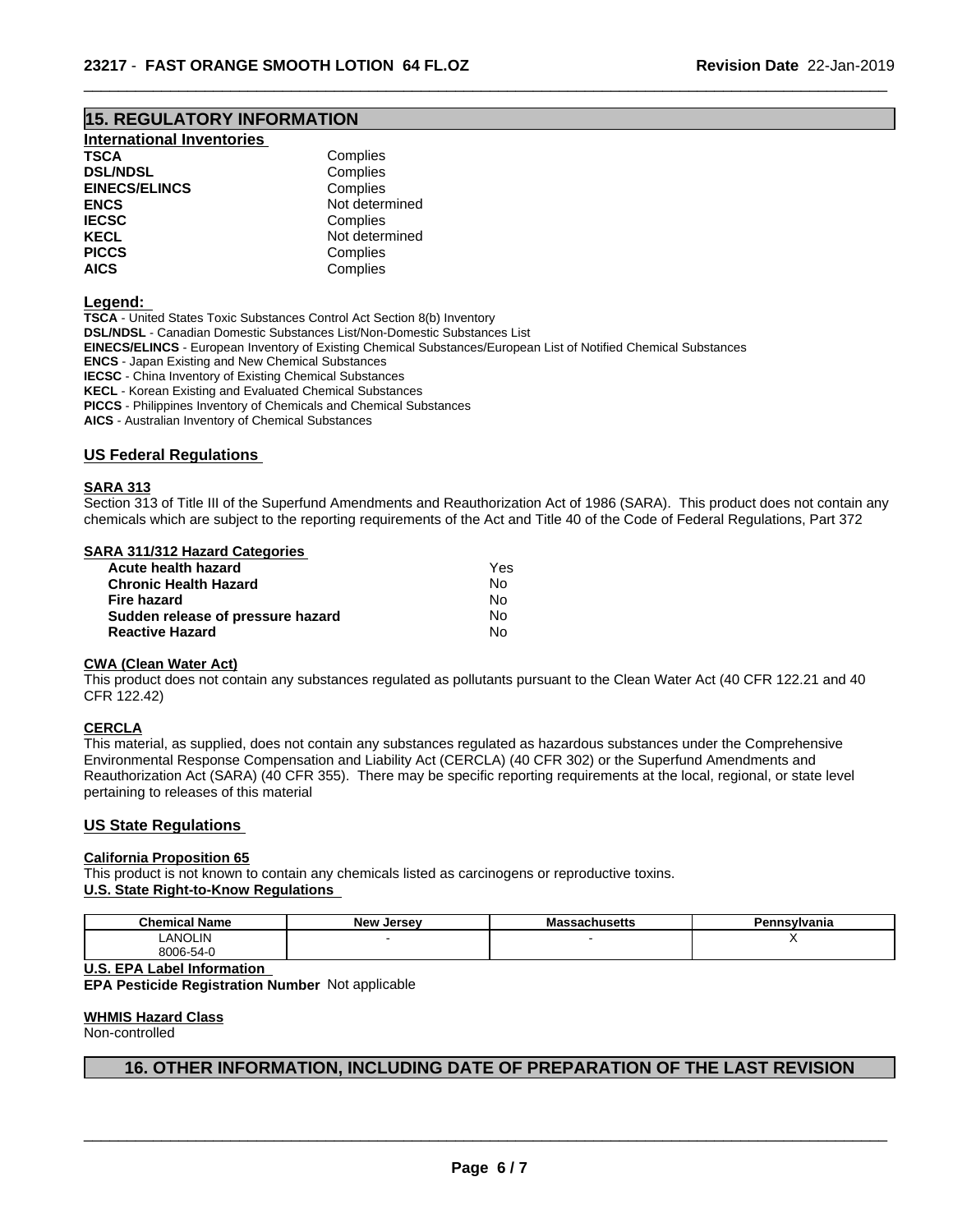## **15. REGULATORY INFORMATION**

| <b>International Inventories</b> |  |
|----------------------------------|--|
|----------------------------------|--|

| TSCA                 | Complies       |  |
|----------------------|----------------|--|
| <b>DSL/NDSL</b>      | Complies       |  |
| <b>EINECS/ELINCS</b> | Complies       |  |
| ENCS                 | Not determined |  |
| <b>IECSC</b>         | Complies       |  |
| KECL                 | Not determined |  |
| <b>PICCS</b>         | Complies       |  |
| AICS                 | Complies       |  |
|                      |                |  |

#### **Legend:**

**TSCA** - United States Toxic Substances Control Act Section 8(b) Inventory **DSL/NDSL** - Canadian Domestic Substances List/Non-Domestic Substances List **EINECS/ELINCS** - European Inventory of Existing Chemical Substances/European List of Notified Chemical Substances **ENCS** - Japan Existing and New Chemical Substances **IECSC** - China Inventory of Existing Chemical Substances **KECL** - Korean Existing and Evaluated Chemical Substances **PICCS** - Philippines Inventory of Chemicals and Chemical Substances

**AICS** - Australian Inventory of Chemical Substances

### **US Federal Regulations**

#### **SARA 313**

Section 313 of Title III of the Superfund Amendments and Reauthorization Act of 1986 (SARA). This product does not contain any chemicals which are subject to the reporting requirements of the Act and Title 40 of the Code of Federal Regulations, Part 372

 $\overline{\phantom{a}}$  ,  $\overline{\phantom{a}}$  ,  $\overline{\phantom{a}}$  ,  $\overline{\phantom{a}}$  ,  $\overline{\phantom{a}}$  ,  $\overline{\phantom{a}}$  ,  $\overline{\phantom{a}}$  ,  $\overline{\phantom{a}}$  ,  $\overline{\phantom{a}}$  ,  $\overline{\phantom{a}}$  ,  $\overline{\phantom{a}}$  ,  $\overline{\phantom{a}}$  ,  $\overline{\phantom{a}}$  ,  $\overline{\phantom{a}}$  ,  $\overline{\phantom{a}}$  ,  $\overline{\phantom{a}}$ 

## **SARA 311/312 Hazard Categories**

| Acute health hazard               | Yes |  |
|-----------------------------------|-----|--|
| <b>Chronic Health Hazard</b>      | N٥  |  |
| Fire hazard                       | N٥  |  |
| Sudden release of pressure hazard | No. |  |
| <b>Reactive Hazard</b>            | N٥  |  |

### **CWA** (Clean Water Act)

This product does not contain any substances regulated as pollutants pursuant to the Clean Water Act (40 CFR 122.21 and 40 CFR 122.42)

#### **CERCLA**

This material, as supplied, does not contain any substances regulated as hazardous substances under the Comprehensive Environmental Response Compensation and Liability Act (CERCLA) (40 CFR 302) or the Superfund Amendments and Reauthorization Act (SARA) (40 CFR 355). There may be specific reporting requirements at the local, regional, or state level pertaining to releases of this material

#### **US State Regulations**

## **California Proposition 65**

This product is not known to contain any chemicals listed as carcinogens or reproductive toxins. **U.S. State Right-to-Know Regulations**

| <b>Chemical Name</b> | . Jersev<br>New | ssachusetts | - פ<br>'ennsvlvania |  |
|----------------------|-----------------|-------------|---------------------|--|
| <b>LANOLIN</b>       |                 |             |                     |  |
| 8006-54-y            |                 |             |                     |  |

**U.S. EPA Label Information**

**EPA Pesticide Registration Number** Notapplicable

#### **WHMIS Hazard Class**

Non-controlled

## **16. OTHER INFORMATION, INCLUDING DATE OF PREPARATION OF THE LAST REVISION**